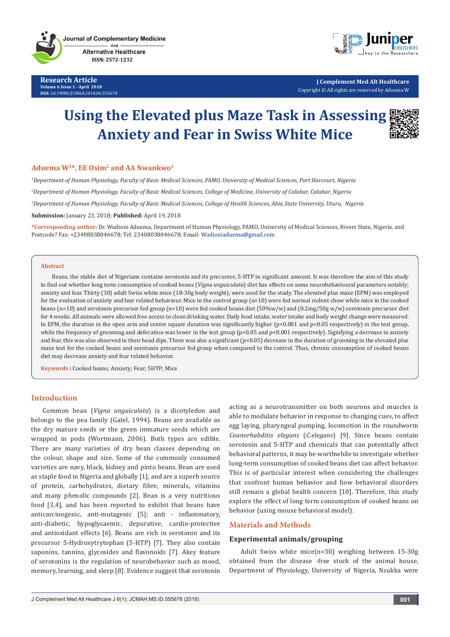**Research Article Volume 6 Issue 1 - April 2018 DOI:** [10.19080/JCMAH.2018.06.555678](http://dx.doi.org/10.19080/JCMAH.2018.06.555678)



**J Complement Med Alt Healthcare** Copyright © All rights are reserved by Aduema W

# **Using the Elevated plus Maze Task in Assessing Anxiety and Fear in Swiss White Mice**



## **Aduema W1\*, EE Osim2 and AA Nwankwo3**

 *Department of Human Physiology, Faculty of Basic Medical Sciences, PAMO, University of Medical Sciences, Port Harcourt, Nigeria Department of Human Physiology, Faculty of Basic Medical Sciences, College of Medicine, University of Calabar, Calabar, Nigeria Department of Human Physiology, Faculty of Basic Medical Sciences, College of Health Sciences, Abia State University, Uturu, Nigeria* **Submission:** January 23, 2018; **Published:** April 19, 2018

**\*Corresponding author:** Dr. Wadioni Aduema, Department of Human Physiology, PAMO, University of Medical Sciences, Rivers State, Nigeria, and Postcode? Fax: +23408038046678; Tel: 23408038046678; Email:

#### **Abstract**

Beans, the stable diet of Nigerians contains serotonin and its precursor, 5-HTP in significant amount. It was therefore the aim of this study to find out whether long term consumption of cooked beans (*Vigna unguiculata*) diet has effects on some neurobehavioural parameters notably; anxiety and fear. Thirty (30) adult Swiss white mice (18-30g body weight), were used for the study. The elevated plus maze (EPM) was employed for the evaluation of anxiety and fear related behaviour. Mice in the control group (n=10) were fed normal rodent chow while mice in the cooked beans (n=10) and serotonin precursor fed group (n=10) were fed cooked beans diet (50%w/w) and (0.2mg/50g w/w) serotonin precursor diet for 4 weeks. All animals were allowed free access to clean drinking water. Daily food intake, water intake and body weight change were measured. In EPM, the duration in the open arm and centre square duration was significantly higher  $(p<0.001$  and  $p<0.05$  respectively) in the test group, while the frequency of grooming and defecation was lower in the test group (p<0.05 and p<0.001 respectively). Signifying a decrease in anxiety and fear, this was also observed in their head dips. There was also a significant (p<0.05) decrease in the duration of grooming in the elevated plus maze test for the cooked beans and serotonin precursor fed group when compared to the control. Thus, chronic consumption of cooked beans diet may decrease anxiety and fear related behavior.

**Keywords :** Cooked beans; Anxiety; Fear; 5HTP; Mice

## **Introduction**

Common bean (*Vigna unguiculata*) is a dicotyledon and belongs to the pea family (Gatel, 1994). Beans are available as the dry mature seeds or the green immature seeds which are wrapped in pods (Wortmann, 2006). Both types are edible. There are many varieties of dry bean classes depending on the colour, shape and size. Some of the commonly consumed varieties are navy, black, kidney and pinto beans. Bean are used as staple food in Nigeria and globally [1], and are a superb source of protein, carbohydrates, dietary fibre, minerals, vitamins and many phenolic compounds [2]. Bean is a very nutritious food [3,4], and has been reported to exhibit that beans have anticarcinogenic, anti-mutagenic [5]; anti - inflammatory, anti-diabetic, hypoglycaemic, depurative, cardio-protective and antioxidant effects [6]. Beans are rich in serotonin and its precursor 5-Hydroxytrytophan (5-HTP) [7]. They also contain saponins, tannins, glycosides and flavonoids [7]. Akey feature of serotonins is the regulation of neurobehavior such as mood, memory, learning, and sleep [8]. Evidence suggest that serotonin

acting as a neurotransmitter on both neurons and muscles is able to modulate behavior in response to changing cues, to affect egg laying, pharyngeal pumping, locomotion in the roundworm *Ceanorhabditis elegans* (*C.elegans*) [9]. Since beans contain serotonin and 5-HTP and chemicals that can potentially affect behavioral patterns, it may be worthwhile to investigate whether long-term consumption of cooked beans diet can affect behavior. This is of particular interest when considering the challenges that confront human behavior and how behavioral disorders still remain a global health concern [10]. Therefore, this study explore the effect of long term consumption of cooked beans on behavior (using mouse behavioral model).

# **Materials and Methods**

#### **Experimental animals/grouping**

Adult Swiss white mice(n=30) weighing between 15-30g obtained from the disease -free stock of the animal house, Department of Physiology, University of Nigeria, Nsukka were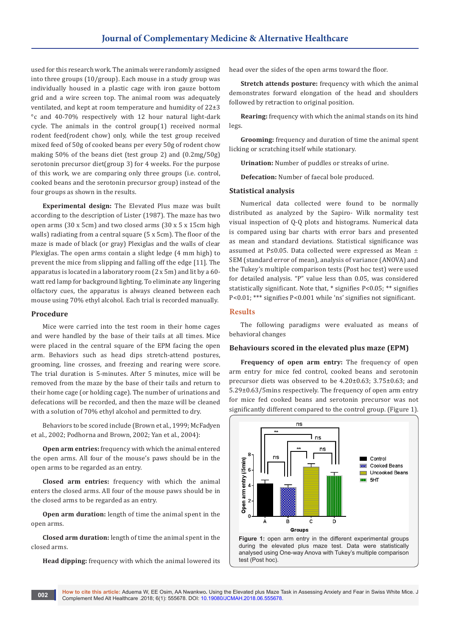used for this research work. The animals were randomly assigned into three groups (10/group). Each mouse in a study group was individually housed in a plastic cage with iron gauze bottom grid and a wire screen top. The animal room was adequately ventilated, and kept at room temperature and humidity of 22±3 °c and 40-70% respectively with 12 hour natural light-dark cycle. The animals in the control group(1) received normal rodent feed(rodent chow) only, while the test group received mixed feed of 50g of cooked beans per every 50g of rodent chow making 50% of the beans diet (test group 2) and (0.2mg/50g) serotonin precursor diet(group 3) for 4 weeks. For the purpose of this work, we are comparing only three groups (i.e. control, cooked beans and the serotonin precursor group) instead of the four groups as shown in the results.

**Experimental design:** The Elevated Plus maze was built according to the description of Lister (1987). The maze has two open arms (30 x 5cm) and two closed arms (30 x 5 x 15cm high walls) radiating from a central square (5 x 5cm). The floor of the maze is made of black (or gray) Plexiglas and the walls of clear Plexiglas. The open arms contain a slight ledge (4 mm high) to prevent the mice from slipping and falling off the edge [11]. The apparatus is located in a laboratory room (2 x 5m) and lit by a 60 watt red lamp for background lighting. To eliminate any lingering olfactory cues, the apparatus is always cleaned between each mouse using 70% ethyl alcohol. Each trial is recorded manually.

## **Procedure**

Mice were carried into the test room in their home cages and were handled by the base of their tails at all times. Mice were placed in the central square of the EPM facing the open arm. Behaviors such as head dips stretch-attend postures, grooming, line crosses, and freezing and rearing were score. The trial duration is 5-minutes. After 5 minutes, mice will be removed from the maze by the base of their tails and return to their home cage (or holding cage). The number of urinations and defecations will be recorded, and then the maze will be cleaned with a solution of 70% ethyl alcohol and permitted to dry.

Behaviors to be scored include (Brown et al., 1999; McFadyen et al., 2002; Podhorna and Brown, 2002; Yan et al., 2004):

**Open arm entries:** frequency with which the animal entered the open arms. All four of the mouse's paws should be in the open arms to be regarded as an entry.

**Closed arm entries:** frequency with which the animal enters the closed arms. All four of the mouse paws should be in the closed arms to be regarded as an entry.

**Open arm duration:** length of time the animal spent in the open arms.

**Closed arm duration:** length of time the animal spent in the closed arms.

**Head dipping:** frequency with which the animal lowered its

head over the sides of the open arms toward the floor.

**Stretch attends posture:** frequency with which the animal demonstrates forward elongation of the head and shoulders followed by retraction to original position.

**Rearing:** frequency with which the animal stands on its hind legs.

**Grooming:** frequency and duration of time the animal spent licking or scratching itself while stationary.

**Urination:** Number of puddles or streaks of urine.

**Defecation:** Number of faecal bole produced.

#### **Statistical analysis**

Numerical data collected were found to be normally distributed as analyzed by the Sapiro- Wilk normality test visual inspection of Q-Q plots and histograms. Numerical data is compared using bar charts with error bars and presented as mean and standard deviations. Statistical significance was assumed at P≤0.05. Data collected were expressed as Mean  $±$ SEM (standard error of mean), analysis of variance (ANOVA) and the Tukey's multiple comparison tests (Post hoc test) were used for detailed analysis. "P" value less than 0.05, was considered statistically significant. Note that, \* signifies P<0.05; \*\* signifies P<0.01; \*\*\* signifies P<0.001 while 'ns' signifies not significant.

# **Results**

The following paradigms were evaluated as means of behavioral changes

#### **Behaviours scored in the elevated plus maze (EPM)**

**Frequency of open arm entry:** The frequency of open arm entry for mice fed control, cooked beans and serotonin precursor diets was observed to be 4.20±0.63; 3.75±0.63; and 5.29±0.63/5mins respectively. The frequency of open arm entry for mice fed cooked beans and serotonin precursor was not significantly different compared to the control group. (Figure 1).



**How to cite this article:** Aduema W, EE Osim, AA Nwankwo**.** Using the Elevated plus Maze Task in Assessing Anxiety and Fear in Swiss White Mice. J Complement Med Alt Healthcare .2018; 6(1): 555678. DOI: [10.19080/JCMAH.2018.06.555678](http://dx.doi.org/10.19080/JCMAH.2018.06.555678). **<sup>002</sup>**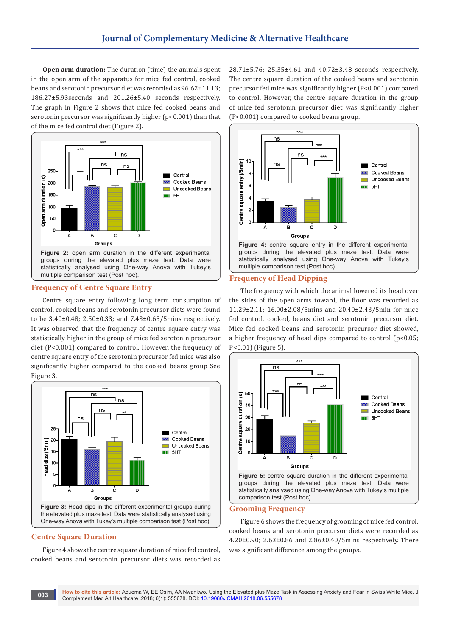**Open arm duration:** The duration (time) the animals spent in the open arm of the apparatus for mice fed control, cooked beans and serotonin precursor diet was recorded as 96.62±11.13; 186.27±5.93seconds and 201.26±5.40 seconds respectively. The graph in Figure 2 shows that mice fed cooked beans and serotonin precursor was significantly higher (p<0.001) than that of the mice fed control diet (Figure 2).



#### **Frequency of Centre Square Entry**

Centre square entry following long term consumption of control, cooked beans and serotonin precursor diets were found to be 3.40±0.48; 2.50±0.33; and 7.43±0.65/5mins respectively. It was observed that the frequency of centre square entry was statistically higher in the group of mice fed serotonin precursor diet (P<0.001) compared to control. However, the frequency of centre square entry of the serotonin precursor fed mice was also significantly higher compared to the cooked beans group See Figure 3.



#### **Centre Square Duration**

Figure 4 shows the centre square duration of mice fed control, cooked beans and serotonin precursor diets was recorded as

28.71±5.76; 25.35±4.61 and 40.72±3.48 seconds respectively. The centre square duration of the cooked beans and serotonin precursor fed mice was significantly higher (P<0.001) compared to control. However, the centre square duration in the group of mice fed serotonin precursor diet was significantly higher (P<0.001) compared to cooked beans group.



# **Frequency of Head Dipping**

The frequency with which the animal lowered its head over the sides of the open arms toward, the floor was recorded as 11.29±2.11; 16.00±2.08/5mins and 20.40±2.43/5min for mice fed control, cooked, beans diet and serotonin precursor diet. Mice fed cooked beans and serotonin precursor diet showed, a higher frequency of head dips compared to control (p<0.05; P<0.01) (Figure 5).



#### **Grooming Frequency**

Figure 6 shows the frequency of grooming of mice fed control, cooked beans and serotonin precursor diets were recorded as 4.20±0.90; 2.63±0.86 and 2.86±0.40/5mins respectively. There was significant difference among the groups.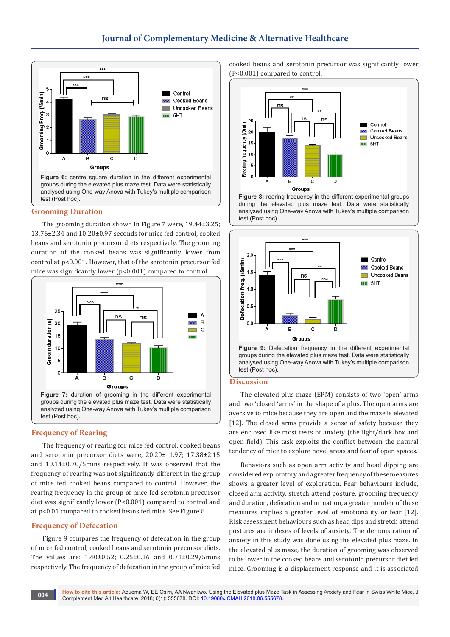

#### **Grooming Duration**

The grooming duration shown in Figure 7 were, 19.44±3.25; 13.76±2.34 and 10.20±0.97 seconds for mice fed control, cooked beans and serotonin precursor diets respectively. The grooming duration of the cooked beans was significantly lower from control at p<0.001. However, that of the serotonin precursor fed mice was significantly lower (p<0.001) compared to control.



#### **Frequency of Rearing**

The frequency of rearing for mice fed control, cooked beans and serotonin precursor diets were, 20.20± 1.97; 17.38±2.15 and 10.14±0.70/5mins respectively. It was observed that the frequency of rearing was not significantly different in the group of mice fed cooked beans compared to control. However, the rearing frequency in the group of mice fed serotonin precursor diet was significantly lower (P<0.001) compared to control and at p<0.01 compared to cooked beans fed mice. See Figure 8.

### **Frequency of Defecation**

Figure 9 compares the frequency of defecation in the group of mice fed control, cooked beans and serotonin precursor diets. The values are: 1.40±0.52; 0.25±0.16 and 0.71±0.29/5mins respectively. The frequency of defecation in the group of mice fed

cooked beans and serotonin precursor was significantly lower (P<0.001) compared to control.



**Figure 8:** rearing frequency in the different experimental groups during the elevated plus maze test. Data were statistically analysed using One-way Anova with Tukey's multiple comparison test (Post hoc).



#### **Discussion**

The elevated plus maze (EPM) consists of two 'open' arms and two 'closed 'arms' in the shape of a plus. The open arms are aversive to mice because they are open and the maze is elevated [12]. The closed arms provide a sense of safety because they are enclosed like most tests of anxiety (the light/dark box and open field). This task exploits the conflict between the natural tendency of mice to explore novel areas and fear of open spaces.

Behaviors such as open arm activity and head dipping are considered exploratory and a greater frequency of these measures shows a greater level of exploration. Fear behaviours include, closed arm activity, stretch attend posture, grooming frequency and duration, defecation and urination, a greater number of these measures implies a greater level of emotionality or fear [12]. Risk assessment behaviours such as head dips and stretch attend postures are indexes of levels of anxiety. The demonstration of anxiety in this study was done using the elevated plus maze. In the elevated plus maze, the duration of grooming was observed to be lower in the cooked beans and serotonin precursor diet fed mice. Grooming is a displacement response and it is associated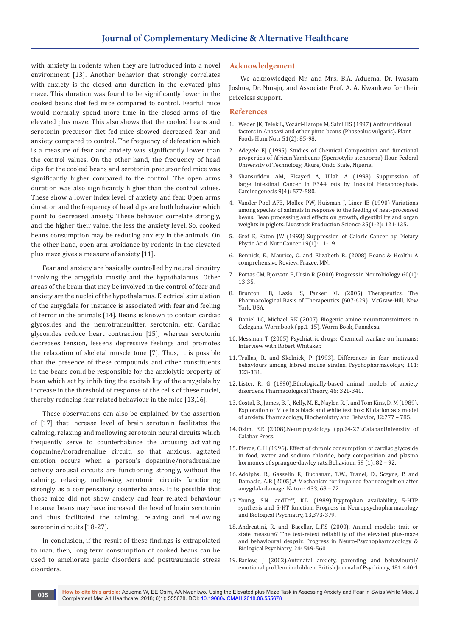with anxiety in rodents when they are introduced into a novel environment [13]. Another behavior that strongly correlates with anxiety is the closed arm duration in the elevated plus maze. This duration was found to be significantly lower in the cooked beans diet fed mice compared to control. Fearful mice would normally spend more time in the closed arms of the elevated plus maze. This also shows that the cooked beans and serotonin precursor diet fed mice showed decreased fear and anxiety compared to control. The frequency of defecation which is a measure of fear and anxiety was significantly lower than the control values. On the other hand, the frequency of head dips for the cooked beans and serotonin precursor fed mice was significantly higher compared to the control. The open arms duration was also significantly higher than the control values. These show a lower index level of anxiety and fear. Open arms duration and the frequency of head dips are both behavior which point to decreased anxiety. These behavior correlate strongly, and the higher their value, the less the anxiety level. So, cooked beans consumption may be reducing anxiety in the animals. On the other hand, open arm avoidance by rodents in the elevated plus maze gives a measure of anxiety [11].

Fear and anxiety are basically controlled by neural circuitry involving the amygdala mostly and the hypothalamus. Other areas of the brain that may be involved in the control of fear and anxiety are the nuclei of the hypothalamus. Electrical stimulation of the amygdala for instance is associated with fear and feeling of terror in the animals [14]. Beans is known to contain cardiac glycosides and the neurotransmitter, serotonin, etc. Cardiac glycosides reduce heart contraction [15], whereas serotonin decreases tension, lessens depressive feelings and promotes the relaxation of skeletal muscle tone [7]. Thus, it is possible that the presence of these compounds and other constituents in the beans could be responsible for the anxiolytic property of bean which act by inhibiting the excitability of the amygdala by increase in the threshold of response of the cells of these nuclei, thereby reducing fear related behaviour in the mice [13,16].

These observations can also be explained by the assertion of [17] that increase level of brain serotonin facilitates the calming, relaxing and mellowing serotonin neural circuits which frequently serve to counterbalance the arousing activating dopamine/noradrenaline circuit, so that anxious, agitated emotion occurs when a person's dopamine/noradrenaline activity arousal circuits are functioning strongly, without the calming, relaxing, mellowing serotonin circuits functioning strongly as a compensatory counterbalance. It is possible that those mice did not show anxiety and fear related behaviour because beans may have increased the level of brain serotonin and thus facilitated the calming, relaxing and mellowing serotonin circuits [18-27].

In conclusion, if the result of these findings is extrapolated to man, then, long term consumption of cooked beans can be used to ameliorate panic disorders and posttraumatic stress disorders.

#### **Acknowledgement**

We acknowledged Mr. and Mrs. B.A. Aduema, Dr. Iwasam Joshua, Dr. Nmaju, and Associate Prof. A. A. Nwankwo for their priceless support.

#### **References**

- 1. [Weder JK, Telek L, Vozári-Hampe M, Saini HS \(1997\) Antinutritional](https://www.ncbi.nlm.nih.gov/pubmed/9527344)  [factors in Anasazi and other pinto beans \(Phaseolus vulgaris\). Plant](https://www.ncbi.nlm.nih.gov/pubmed/9527344)  [Foods Hum Nutr 51\(2\): 85-98.](https://www.ncbi.nlm.nih.gov/pubmed/9527344)
- 2. Adeyele EJ (1995) Studies of Chemical Composition and functional properties of African Yambeans (Spensotylis stenoorpa) flour. Federal University of Technology, Akure, Ondo State, Nigeria.
- 3. [Shansudden AM, Elsayed A, Ullah A \(1998\) Suppression of](https://www.ncbi.nlm.nih.gov/pubmed/2833366)  [large intestinal Cancer in F344 rats by Inositol Hexaphosphate.](https://www.ncbi.nlm.nih.gov/pubmed/2833366)  [Carcinogenesis 9\(4\): 577-580.](https://www.ncbi.nlm.nih.gov/pubmed/2833366)
- 4. [Vander Poel AFB, Mollee PW, Huisman J, Liner IE \(1990\) Variations](https://www.sciencedirect.com/science/article/pii/0301622690900469)  [among species of animals in response to the feeding of heat-processed](https://www.sciencedirect.com/science/article/pii/0301622690900469)  [beans. Bean processing and effects on growth, digestibility and organ](https://www.sciencedirect.com/science/article/pii/0301622690900469)  [weights in piglets. Livestock Production Science 25\(1-2\): 121-135.](https://www.sciencedirect.com/science/article/pii/0301622690900469)
- 5. [Gref E, Eaton JW \(1993\) Suppression of Caloric Cancer by Dietary](https://www.ncbi.nlm.nih.gov/pubmed/8383315)  [Phytic Acid. Nutr Cancer 19\(1\): 11-19.](https://www.ncbi.nlm.nih.gov/pubmed/8383315)
- 6. Bennick, E., Maurice, O. and Elizabeth R. (2008) Beans & Health: A comprehensive Review. Frazee, MN.
- 7. Portas CM, Bjorvatn B, Ursin R (2000) Progress in Neurobiology. 60(1): 13-35.
- 8. Brunton LB, Lazio JS, Parker KL (2005) Therapeutics. The Pharmacological Basis of Therapeutics (607-629). McGraw-Hill, New York, USA.
- 9. Daniel LC, Michael RK (2007) Biogenic amine neurotransmitters in C.elegans. Wormbook (pp.1-15). Worm Book, Panadesa.
- 10. Messman T (2005) Psychiatric drugs: Chemical warfare on humans: Interview with Robert Whitaker.
- 11. Trullas, R. and Skolnick, P (1993). Differences in fear motivated behaviours among inbred mouse strains. Psychopharmacology, 111: 323-331.
- 12. Lister, R. G (1990).Ethologically-based animal models of anxiety disorders. Pharmacological Theory, 46: 321-340.
- 13. Costal, B., James, B. J., Kelly, M. E., Naylor, R. J. and Tom Kins, D. M (1989). Exploration of Mice in a black and white test box: Klidation as a model of anxiety. Pharmacology, Biochemistry and Behavior, 32:777 – 785.
- 14. Osim, E.E (2008).Neurophysiology (pp.24-27).Calabar.University of Calabar Press.
- 15. Pierce, C. H (1996). Effect of chronic consumption of cardiac glycoside in food, water and sodium chloride, body composition and plasma hormones of spraugue-dawley rats.Behaviour, 59 (1). 82 – 92.
- 16. Adolphs, R., Gasselin F., Buchanan, T.W., Tranel, D., Scgyns, P. and Damasio, A.R (2005).A Mechanism for impaired fear recognition after amygdala damage. Nature, 433, 68 – 72.
- 17. Young, S.N. andTeff, K.L (1989).Tryptophan availability, 5-HTP synthesis and 5-HT function. Progress in Neuropsychopharmacology and Biological Psychiatry, 13,373-379.
- 18. Andreatini, R. and Bacellar, L.F.S (2000). Animal models: trait or state measure? The test-retest reliability of the elevated plus-maze and behavioural despair. Progress in Neuro-Psychopharmacology & Biological Psychiatry, 24: 549-560.
- 19. Barlow, J (2002).Antenatal anxiety, parenting and behavioural/ emotional problem in children. British Journal of Psychiatry, 181:440-1